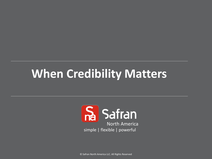# **When Credibility Matters**



© Safran North America LLC. All Rights Reserved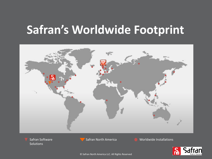# **Safran's Worldwide Footprint**



Safran Software Solutions

Safran North America **Canadian Music Music Installations** 

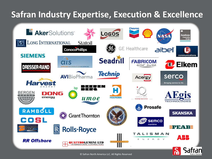### **Safran Industry Expertise, Execution & Excellence**



© Safran North America LLC. All Rights Reserved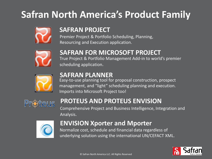## **Safran North America's Product Family**



#### **SAFRAN PROJECT**

Premier Project & Portfolio Scheduling, Planning, Resourcing and Execution application.



#### **SAFRAN FOR MICROSOFT PROJECT**

True Project & Portfolio Management Add-in to world's premier scheduling application.



#### **SAFRAN PLANNER**

Easy-to-use planning tool for proposal construction, prospect management, and "light" scheduling planning and execution. Imports into Microsoft Project too!



#### **PROTEUS AND PROTEUS ENVISION**

Comprehensive Project and Business Intelligence, Integration and Analysis.



#### **ENVISION Xporter and Mporter**

Normalize cost, schedule and financial data regardless of underlying solution using the international UN/CEFACT XML.

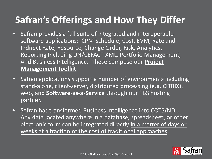### **Safran's Offerings and How They Differ**

- Safran provides a full suite of integrated and interoperable software applications: CPM Schedule, Cost, EVM, Rate and Indirect Rate, Resource, Change Order, Risk, Analytics, Reporting Including UN/CEFACT XML, Portfolio Management, And Business Intelligence. These compose our **Project Management Toolkit**.
- Safran applications support a number of environments including stand-alone, client-server, distributed processing (e.g. CITRIX), web, and **Software-as-a-Service** through our TBS hosting partner.
- Safran has transformed Business Intelligence into COTS/NDI. Any data located anywhere in a database, spreadsheet, or other electronic form can be integrated directly in a matter of days or weeks at a fraction of the cost of traditional approaches.

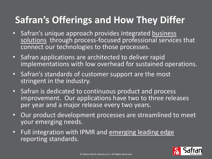### **Safran's Offerings and How They Differ**

- Safran's unique approach provides integrated business solutions through process-focused professional services that connect our technologies to those processes.
- Safran applications are architected to deliver rapid implementations with low overhead for sustained operations.
- Safran's standards of customer support are the most stringent in the industry.
- Safran is dedicated to continuous product and process improvement. Our applications have two to three releases per year and a major release every two years.
- Our product development processes are streamlined to meet your emerging needs.
- Full integration with IPMR and emerging leading edge reporting standards.

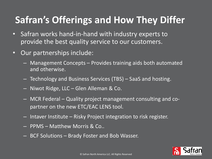### **Safran's Offerings and How They Differ**

- Safran works hand-in-hand with industry experts to provide the best quality service to our customers.
- Our partnerships include:
	- Management Concepts Provides training aids both automated and otherwise.
	- Technology and Business Services (TBS) SaaS and hosting.
	- Niwot Ridge, LLC Glen Alleman & Co.
	- MCR Federal Quality project management consulting and copartner on the new ETC/EAC LENS tool.
	- Intaver Institute Risky Project integration to risk register.
	- PPMS Matthew Morris & Co..
	- BCF Solutions Brady Foster and Bob Wasser.

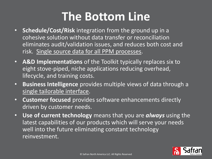# **The Bottom Line**

- **Schedule/Cost/Risk** integration from the ground up in a cohesive solution without data transfer or reconciliation eliminates audit/validation issues, and reduces both cost and risk. Single source data for all PPM processes.
- **A&D Implementations** of the Toolkit typically replaces six to eight stove-piped, niche applications reducing overhead, lifecycle, and training costs.
- **Business Intelligence** provides multiple views of data through a single tailorable interface.
- **Customer focused** provides software enhancements directly driven by customer needs.
- **Use of current technology** means that you are *always* using the latest capabilities of our products which will serve your needs well into the future eliminating constant technology reinvestment.